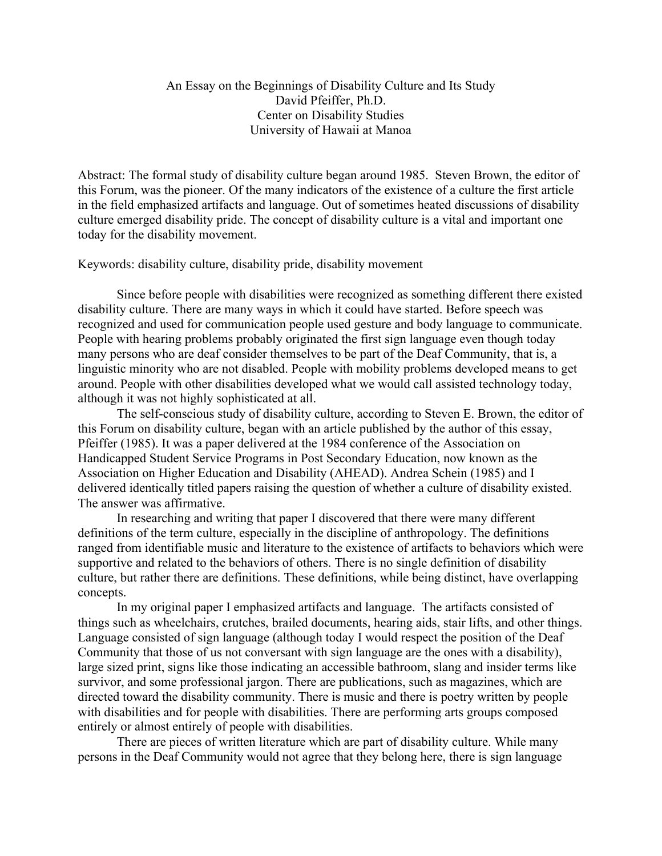## An Essay on the Beginnings of Disability Culture and Its Study David Pfeiffer, Ph.D. Center on Disability Studies University of Hawaii at Manoa

Abstract: The formal study of disability culture began around 1985. Steven Brown, the editor of this Forum, was the pioneer. Of the many indicators of the existence of a culture the first article in the field emphasized artifacts and language. Out of sometimes heated discussions of disability culture emerged disability pride. The concept of disability culture is a vital and important one today for the disability movement.

Keywords: disability culture, disability pride, disability movement

Since before people with disabilities were recognized as something different there existed disability culture. There are many ways in which it could have started. Before speech was recognized and used for communication people used gesture and body language to communicate. People with hearing problems probably originated the first sign language even though today many persons who are deaf consider themselves to be part of the Deaf Community, that is, a linguistic minority who are not disabled. People with mobility problems developed means to get around. People with other disabilities developed what we would call assisted technology today, although it was not highly sophisticated at all.

The self-conscious study of disability culture, according to Steven E. Brown, the editor of this Forum on disability culture, began with an article published by the author of this essay, Pfeiffer (1985). It was a paper delivered at the 1984 conference of the Association on Handicapped Student Service Programs in Post Secondary Education, now known as the Association on Higher Education and Disability (AHEAD). Andrea Schein (1985) and I delivered identically titled papers raising the question of whether a culture of disability existed. The answer was affirmative.

In researching and writing that paper I discovered that there were many different definitions of the term culture, especially in the discipline of anthropology. The definitions ranged from identifiable music and literature to the existence of artifacts to behaviors which were supportive and related to the behaviors of others. There is no single definition of disability culture, but rather there are definitions. These definitions, while being distinct, have overlapping concepts.

In my original paper I emphasized artifacts and language. The artifacts consisted of things such as wheelchairs, crutches, brailed documents, hearing aids, stair lifts, and other things. Language consisted of sign language (although today I would respect the position of the Deaf Community that those of us not conversant with sign language are the ones with a disability), large sized print, signs like those indicating an accessible bathroom, slang and insider terms like survivor, and some professional jargon. There are publications, such as magazines, which are directed toward the disability community. There is music and there is poetry written by people with disabilities and for people with disabilities. There are performing arts groups composed entirely or almost entirely of people with disabilities.

There are pieces of written literature which are part of disability culture. While many persons in the Deaf Community would not agree that they belong here, there is sign language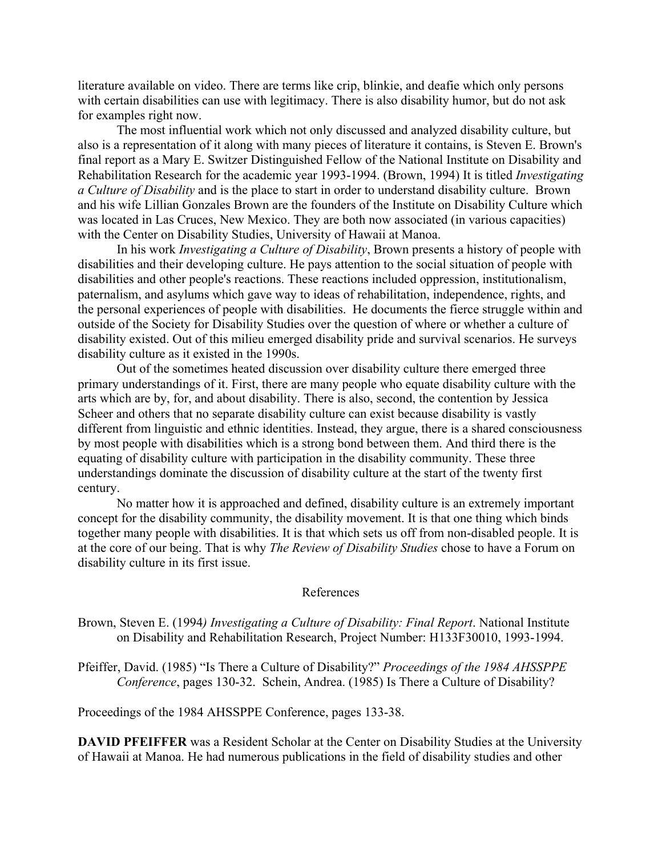literature available on video. There are terms like crip, blinkie, and deafie which only persons with certain disabilities can use with legitimacy. There is also disability humor, but do not ask for examples right now.

The most influential work which not only discussed and analyzed disability culture, but also is a representation of it along with many pieces of literature it contains, is Steven E. Brown's final report as a Mary E. Switzer Distinguished Fellow of the National Institute on Disability and Rehabilitation Research for the academic year 1993-1994. (Brown, 1994) It is titled *Investigating a Culture of Disability* and is the place to start in order to understand disability culture. Brown and his wife Lillian Gonzales Brown are the founders of the Institute on Disability Culture which was located in Las Cruces, New Mexico. They are both now associated (in various capacities) with the Center on Disability Studies, University of Hawaii at Manoa.

In his work *Investigating a Culture of Disability*, Brown presents a history of people with disabilities and their developing culture. He pays attention to the social situation of people with disabilities and other people's reactions. These reactions included oppression, institutionalism, paternalism, and asylums which gave way to ideas of rehabilitation, independence, rights, and the personal experiences of people with disabilities. He documents the fierce struggle within and outside of the Society for Disability Studies over the question of where or whether a culture of disability existed. Out of this milieu emerged disability pride and survival scenarios. He surveys disability culture as it existed in the 1990s.

Out of the sometimes heated discussion over disability culture there emerged three primary understandings of it. First, there are many people who equate disability culture with the arts which are by, for, and about disability. There is also, second, the contention by Jessica Scheer and others that no separate disability culture can exist because disability is vastly different from linguistic and ethnic identities. Instead, they argue, there is a shared consciousness by most people with disabilities which is a strong bond between them. And third there is the equating of disability culture with participation in the disability community. These three understandings dominate the discussion of disability culture at the start of the twenty first century.

No matter how it is approached and defined, disability culture is an extremely important concept for the disability community, the disability movement. It is that one thing which binds together many people with disabilities. It is that which sets us off from non-disabled people. It is at the core of our being. That is why *The Review of Disability Studies* chose to have a Forum on disability culture in its first issue.

## References

Brown, Steven E. (1994*) Investigating a Culture of Disability: Final Report*. National Institute on Disability and Rehabilitation Research, Project Number: H133F30010, 1993-1994.

Pfeiffer, David. (1985) "Is There a Culture of Disability?" *Proceedings of the 1984 AHSSPPE Conference*, pages 130-32. Schein, Andrea. (1985) Is There a Culture of Disability?

Proceedings of the 1984 AHSSPPE Conference, pages 133-38.

**DAVID PFEIFFER** was a Resident Scholar at the Center on Disability Studies at the University of Hawaii at Manoa. He had numerous publications in the field of disability studies and other